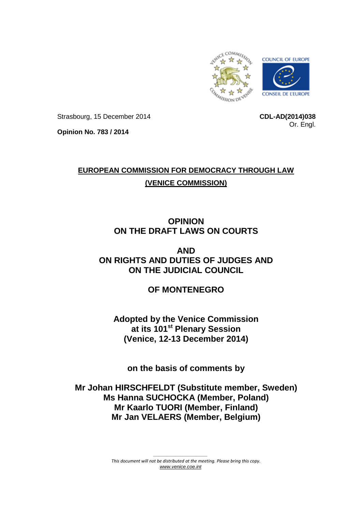

Strasbourg, 15 December 2014

**CDL-AD(2014)038** Or. Engl.

**Opinion No. 783 / 2014**

# **EUROPEAN COMMISSION FOR DEMOCRACY THROUGH LAW (VENICE COMMISSION)**

## **OPINION ON THE DRAFT LAWS ON COURTS**

**AND ON RIGHTS AND DUTIES OF JUDGES AND ON THE JUDICIAL COUNCIL**

**OF MONTENEGRO**

**Adopted by the Venice Commission at its 101st Plenary Session (Venice, 12-13 December 2014)**

**on the basis of comments by**

**Mr Johan HIRSCHFELDT (Substitute member, Sweden) Ms Hanna SUCHOCKA (Member, Poland) Mr Kaarlo TUORI (Member, Finland) Mr Jan VELAERS (Member, Belgium)**

> *This document will not be distributed at the meeting. Please bring this copy. [www.venice.coe.int](http://www.venice.coe.int/)*

*\_\_\_\_\_\_\_\_\_\_\_\_\_\_\_\_\_\_\_\_*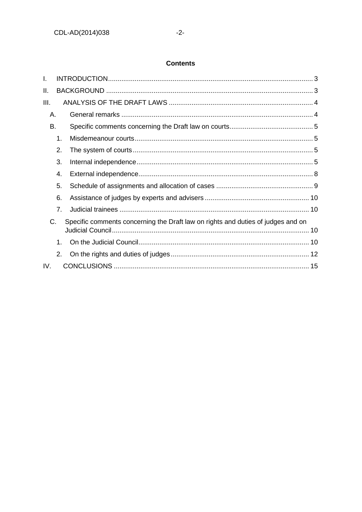### **Contents**

| I.   |    |                                                                                  |  |
|------|----|----------------------------------------------------------------------------------|--|
| ΙΙ.  |    |                                                                                  |  |
| III. |    |                                                                                  |  |
| Α.   |    |                                                                                  |  |
| B.   |    |                                                                                  |  |
|      | 1. |                                                                                  |  |
|      | 2. |                                                                                  |  |
|      | 3. |                                                                                  |  |
|      | 4. |                                                                                  |  |
|      | 5. |                                                                                  |  |
|      | 6. |                                                                                  |  |
|      | 7. |                                                                                  |  |
| C.   |    | Specific comments concerning the Draft law on rights and duties of judges and on |  |
|      | 1. |                                                                                  |  |
|      | 2. |                                                                                  |  |
| IV.  |    |                                                                                  |  |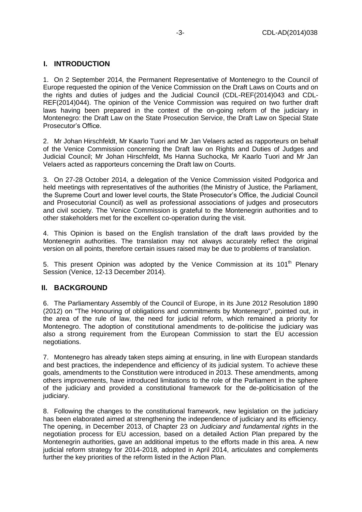### <span id="page-2-0"></span>**I. INTRODUCTION**

1. On 2 September 2014, the Permanent Representative of Montenegro to the Council of Europe requested the opinion of the Venice Commission on the Draft Laws on Courts and on the rights and duties of judges and the Judicial Council (CDL-REF(2014)043 and CDL-REF(2014)044). The opinion of the Venice Commission was required on two further draft laws having been prepared in the context of the on-going reform of the judiciary in Montenegro: the Draft Law on the State Prosecution Service, the Draft Law on Special State Prosecutor's Office.

2. Mr Johan Hirschfeldt, Mr Kaarlo Tuori and Mr Jan Velaers acted as rapporteurs on behalf of the Venice Commission concerning the Draft law on Rights and Duties of Judges and Judicial Council; Mr Johan Hirschfeldt, Ms Hanna Suchocka, Mr Kaarlo Tuori and Mr Jan Velaers acted as rapporteurs concerning the Draft law on Courts.

3. On 27-28 October 2014, a delegation of the Venice Commission visited Podgorica and held meetings with representatives of the authorities (the Ministry of Justice, the Parliament, the Supreme Court and lower level courts, the State Prosecutor's Office, the Judicial Council and Prosecutorial Council) as well as professional associations of judges and prosecutors and civil society. The Venice Commission is grateful to the Montenegrin authorities and to other stakeholders met for the excellent co-operation during the visit.

4. This Opinion is based on the English translation of the draft laws provided by the Montenegrin authorities. The translation may not always accurately reflect the original version on all points, therefore certain issues raised may be due to problems of translation.

5. This present Opinion was adopted by the Venice Commission at its  $101<sup>th</sup>$  Plenarv Session (Venice, 12-13 December 2014).

#### <span id="page-2-1"></span>**II. BACKGROUND**

6. The Parliamentary Assembly of the Council of Europe, in its June 2012 Resolution 1890 (2012) on "The Honouring of obligations and commitments by Montenegro", pointed out, in the area of the rule of law, the need for judicial reform, which remained a priority for Montenegro. The adoption of constitutional amendments to de-politicise the judiciary was also a strong requirement from the European Commission to start the EU accession negotiations.

7. Montenegro has already taken steps aiming at ensuring, in line with European standards and best practices, the independence and efficiency of its judicial system. To achieve these goals, amendments to the Constitution were introduced in 2013. These amendments, among others improvements, have introduced limitations to the role of the Parliament in the sphere of the judiciary and provided a constitutional framework for the de-politicisation of the judiciary.

8. Following the changes to the constitutional framework, new legislation on the judiciary has been elaborated aimed at strengthening the independence of judiciary and its efficiency. The opening, in December 2013, of Chapter 23 on *Judiciary and fundamental rights* in the negotiation process for EU accession, based on a detailed Action Plan prepared by the Montenegrin authorities, gave an additional impetus to the efforts made in this area. A new judicial reform strategy for 2014-2018, adopted in April 2014, articulates and complements further the key priorities of the reform listed in the Action Plan.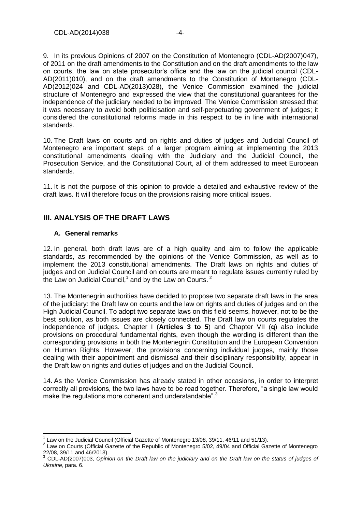9. In its previous Opinions of 2007 on the Constitution of Montenegro (CDL-AD(2007)047), of 2011 on the draft amendments to the Constitution and on the draft amendments to the law on courts, the law on state prosecutor's office and the law on the judicial council (CDL-AD(2011)010), and on the draft amendments to the Constitution of Montenegro (CDL-AD(2012)024 and CDL-AD(2013)028), the Venice Commission examined the judicial structure of Montenegro and expressed the view that the constitutional guarantees for the independence of the judiciary needed to be improved. The Venice Commission stressed that it was necessary to avoid both politicisation and self-perpetuating government of judges; it considered the constitutional reforms made in this respect to be in line with international standards.

10. The Draft laws on courts and on rights and duties of judges and Judicial Council of Montenegro are important steps of a larger program aiming at implementing the 2013 constitutional amendments dealing with the Judiciary and the Judicial Council, the Prosecution Service, and the Constitutional Court, all of them addressed to meet European standards.

11. It is not the purpose of this opinion to provide a detailed and exhaustive review of the draft laws. It will therefore focus on the provisions raising more critical issues.

### <span id="page-3-0"></span>**III. ANALYSIS OF THE DRAFT LAWS**

#### <span id="page-3-1"></span>**A. General remarks**

12. In general, both draft laws are of a high quality and aim to follow the applicable standards, as recommended by the opinions of the Venice Commission, as well as to implement the 2013 constitutional amendments. The Draft laws on rights and duties of judges and on Judicial Council and on courts are meant to regulate issues currently ruled by the Law on Judicial Council,<sup>1</sup> and by the Law on Courts.<sup>2</sup>

13. The Montenegrin authorities have decided to propose two separate draft laws in the area of the judiciary: the Draft law on courts and the law on rights and duties of judges and on the High Judicial Council. To adopt two separate laws on this field seems, however, not to be the best solution, as both issues are closely connected. The Draft law on courts regulates the independence of judges. Chapter I (**Articles 3 to 5**) and Chapter VII (**q**) also include provisions on procedural fundamental rights, even though the wording is different than the corresponding provisions in both the Montenegrin Constitution and the European Convention on Human Rights. However, the provisions concerning individual judges, mainly those dealing with their appointment and dismissal and their disciplinary responsibility, appear in the Draft law on rights and duties of judges and on the Judicial Council.

14. As the Venice Commission has already stated in other occasions, in order to interpret correctly all provisions, the two laws have to be read together. Therefore, "a single law would make the regulations more coherent and understandable".<sup>3</sup>

 1 Law on the Judicial Council (Official Gazette of Montenegro 13/08, 39/11, 46/11 and 51/13).

<sup>&</sup>lt;sup>2</sup> Law on Courts (Official Gazette of the Republic of Montenegro 5/02, 49/04 and Official Gazette of Montenegro 22/08, 39/11 and 46/2013).

<sup>3</sup> CDL-AD(2007)003, *Opinion on the Draft law on the judiciary and on the Draft law on the status of judges of Ukraine*, para. 6.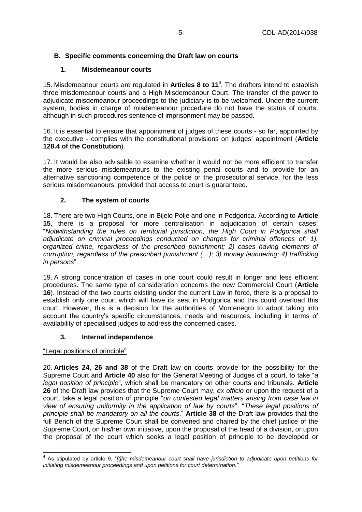### <span id="page-4-1"></span><span id="page-4-0"></span>**B. Specific comments concerning the Draft law on courts**

### **1. Misdemeanour courts**

15. Misdemeanour courts are regulated in **Articles 8 to 11<sup>4</sup>** . The drafters intend to establish three misdemeanour courts and a High Misdemeanour Court. The transfer of the power to adjudicate misdemeanour proceedings to the judiciary is to be welcomed. Under the current system, bodies in charge of misdemeanour procedure do not have the status of courts, although in such procedures sentence of imprisonment may be passed.

16. It is essential to ensure that appointment of judges of these courts - so far, appointed by the executive - complies with the constitutional provisions on judges' appointment (**Article 128.4 of the Constitution**).

17. It would be also advisable to examine whether it would not be more efficient to transfer the more serious misdemeanours to the existing penal courts and to provide for an alternative sanctioning competence of the police or the prosecutorial service, for the less serious misdemeanours, provided that access to court is guaranteed.

### **2. The system of courts**

<span id="page-4-2"></span>18. There are two High Courts, one in Bijelo Polje and one in Podgorica. According to **Article 15**, there is a proposal for more centralisation in adjudication of certain cases: "*Notwithstanding the rules on territorial jurisdiction, the High Court in Podgorica shall adjudicate on criminal proceedings conducted on charges for criminal offences of: 1). organized crime, regardless of the prescribed punishment; 2) cases having elements of corruption, regardless of the prescribed punishment (…); 3) money laundering; 4) trafficking in persons*".

19. A strong concentration of cases in one court could result in longer and less efficient procedures. The same type of consideration concerns the new Commercial Court (**Article 16**). Instead of the two courts existing under the current Law in force, there is a proposal to establish only one court which will have its seat in Podgorica and this could overload this court. However, this is a decision for the authorities of Montenegro to adopt taking into account the country's specific circumstances, needs and resources, including in terms of availability of specialised judges to address the concerned cases.

#### **3. Internal independence**

<span id="page-4-3"></span>"Legal positions of principle"

20. **Articles 24, 26 and 38** of the Draft law on courts provide for the possibility for the Supreme Court and **Article 40** also for the General Meeting of Judges of a court, to take "*a legal position of principle*", which shall be mandatory on other courts and tribunals. **Article 26** of the Draft law provides that the Supreme Court may, *ex officio* or upon the request of a court, take a legal position of principle "*on contested legal matters arising from case law in view of ensuring uniformity in the application of law by courts*". "*These legal positions of principle shall be mandatory on all the courts*." **Article 38** of the Draft law provides that the full Bench of the Supreme Court shall be convened and chaired by the chief justice of the Supreme Court, on his/her own initiative, upon the proposal of the head of a division, or upon the proposal of the court which seeks a legal position of principle to be developed or

 4 As stipulated by article 9, "*[t]he misdemeanour court shall have jurisdiction to adjudicate upon petitions for initiating misdemeanour proceedings and upon petitions for court determination."*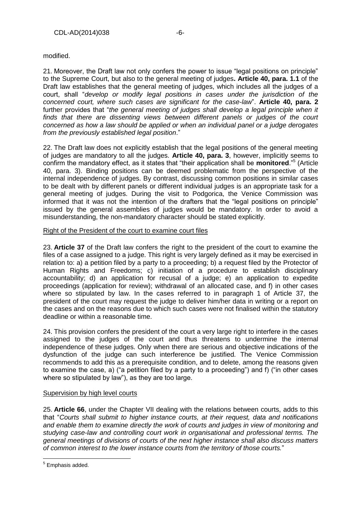modified.

21. Moreover, the Draft law not only confers the power to issue "legal positions on principle" to the Supreme Court, but also to the general meeting of judges**. Article 40, para. 1.1** of the Draft law establishes that the general meeting of judges, which includes all the judges of a court, shall "*develop or modify legal positions in cases under the jurisdiction of the concerned court, where such cases are significant for the case-law*". **Article 40, para. 2** further provides that "*the general meeting of judges shall develop a legal principle when it finds that there are dissenting views between different panels or judges of the court concerned as how a law should be applied or when an individual panel or a judge derogates from the previously established legal position*."

22. The Draft law does not explicitly establish that the legal positions of the general meeting of judges are mandatory to all the judges. **Article 40, para. 3**, however, implicitly seems to confirm the mandatory effect, as it states that "their application shall be **monitored**."<sup>5</sup> (Article 40, para. 3). Binding positions can be deemed problematic from the perspective of the internal independence of judges. By contrast, discussing common positions in similar cases to be dealt with by different panels or different individual judges is an appropriate task for a general meeting of judges. During the visit to Podgorica, the Venice Commission was informed that it was not the intention of the drafters that the "legal positions on principle" issued by the general assemblies of judges would be mandatory. In order to avoid a misunderstanding, the non-mandatory character should be stated explicitly.

#### Right of the President of the court to examine court files

23. **Article 37** of the Draft law confers the right to the president of the court to examine the files of a case assigned to a judge. This right is very largely defined as it may be exercised in relation to: a) a petition filed by a party to a proceeding; b) a request filed by the Protector of Human Rights and Freedoms; c) initiation of a procedure to establish disciplinary accountability; d) an application for recusal of a judge; e) an application to expedite proceedings (application for review); withdrawal of an allocated case, and f) in other cases where so stipulated by law. In the cases referred to in paragraph 1 of Article 37, the president of the court may request the judge to deliver him/her data in writing or a report on the cases and on the reasons due to which such cases were not finalised within the statutory deadline or within a reasonable time.

24. This provision confers the president of the court a very large right to interfere in the cases assigned to the judges of the court and thus threatens to undermine the internal independence of these judges. Only when there are serious and objective indications of the dysfunction of the judge can such interference be justified. The Venice Commission recommends to add this as a prerequisite condition, and to delete, among the reasons given to examine the case, a) ("a petition filed by a party to a proceeding") and f) ("in other cases where so stipulated by law"), as they are too large.

#### Supervision by high level courts

25. **Article 66**, under the Chapter VII dealing with the relations between courts, adds to this that "*Courts shall submit to higher instance courts, at their request, data and notifications and enable them to examine directly the work of courts and judges in view of monitoring and studying case-law and controlling court work in organisational and professional terms. The general meetings of divisions of courts of the next higher instance shall also discuss matters of common interest to the lower instance courts from the territory of those courts.*"

<sup>&</sup>lt;u>.</u><br><sup>5</sup> Emphasis added.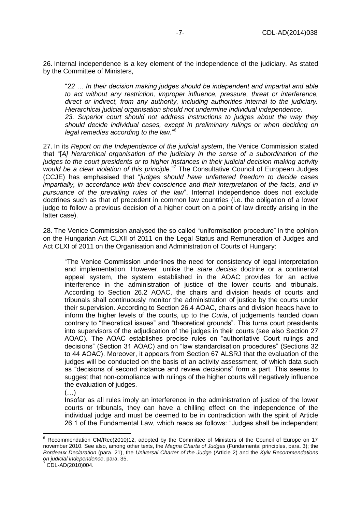26. Internal independence is a key element of the independence of the judiciary. As stated by the Committee of Ministers,

"*22 … In their decision making judges should be independent and impartial and able to act without any restriction, improper influence, pressure, threat or interference, direct or indirect, from any authority, including authorities internal to the judiciary. Hierarchical judicial organisation should not undermine individual independence. 23. Superior court should not address instructions to judges about the way they should decide individual cases, except in preliminary rulings or when deciding on legal remedies according to the law.*" 6

27. In its *Report on the Independence of the judicial system*, the Venice Commission stated that "[*A] hierarchical organisation of the judiciary in the sense of a subordination of the judges to the court presidents or to higher instances in their judicial decision making activity*  would be a clear violation of this principle.<sup>"7</sup> The Consultative Council of European Judges (CCJE) has emphasised that "*judges should have unfettered freedom to decide cases impartially, in accordance with their conscience and their interpretation of the facts, and in pursuance of the prevailing rules of the law*". Internal independence does not exclude doctrines such as that of precedent in common law countries (i.e. the obligation of a lower judge to follow a previous decision of a higher court on a point of law directly arising in the latter case).

28. The Venice Commission analysed the so called "uniformisation procedure" in the opinion on the Hungarian Act CLXII of 2011 on the Legal Status and Remuneration of Judges and Act CLXI of 2011 on the Organisation and Administration of Courts of Hungary:

"The Venice Commission underlines the need for consistency of legal interpretation and implementation. However, unlike the *stare decisis* doctrine or a continental appeal system, the system established in the AOAC provides for an active interference in the administration of justice of the lower courts and tribunals. According to Section 26.2 AOAC, the chairs and division heads of courts and tribunals shall continuously monitor the administration of justice by the courts under their supervision. According to Section 26.4 AOAC, chairs and division heads have to inform the higher levels of the courts, up to the *Curia*, of judgements handed down contrary to "theoretical issues" and "theoretical grounds". This turns court presidents into supervisors of the adjudication of the judges in their courts (see also Section 27 AOAC). The AOAC establishes precise rules on "authoritative Court rulings and decisions" (Section 31 AOAC) and on "law standardisation procedures" (Sections 32 to 44 AOAC). Moreover, it appears from Section 67 ALSRJ that the evaluation of the judges will be conducted on the basis of an activity assessment, of which data such as "decisions of second instance and review decisions" form a part. This seems to suggest that non-compliance with rulings of the higher courts will negatively influence the evaluation of judges.

 $(\ldots)$ 

Insofar as all rules imply an interference in the administration of justice of the lower courts or tribunals, they can have a chilling effect on the independence of the individual judge and must be deemed to be in contradiction with the spirit of Article 26.1 of the Fundamental Law, which reads as follows: "Judges shall be independent

CDL-AD(2010)004.

 $\overline{a}$ 

 $6$  Recommendation CM/Rec(2010)12, adopted by the Committee of Ministers of the Council of Europe on 17 november 2010. See also, among other texts, the *Magna Charta of Judges* (Fundamental principles, para. 3); the *Bordeaux Declaration* (para. 21), the *Universal Charter of the Judge* (Article 2) and the *Kyiv Recommendations on judicial independence*, para. 35.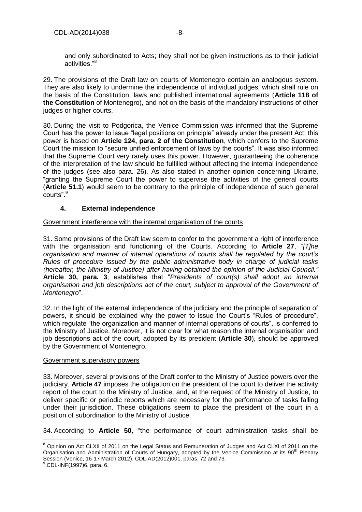and only subordinated to Acts; they shall not be given instructions as to their judicial activities."<sup>8</sup>

29. The provisions of the Draft law on courts of Montenegro contain an analogous system. They are also likely to undermine the independence of individual judges, which shall rule on the basis of the Constitution, laws and published international agreements (**Article 118 of the Constitution** of Montenegro), and not on the basis of the mandatory instructions of other judges or higher courts.

30. During the visit to Podgorica, the Venice Commission was informed that the Supreme Court has the power to issue "legal positions on principle" already under the present Act; this power is based on **Article 124, para. 2 of the Constitution**, which confers to the Supreme Court the mission to "secure unified enforcement of laws by the courts". It was also informed that the Supreme Court very rarely uses this power. However, guaranteeing the coherence of the interpretation of the law should be fulfilled without affecting the internal independence of the judges (see also para. 26). As also stated in another opinion concerning Ukraine, "granting the Supreme Court the power to supervise the activities of the general courts (**Article 51.1**) would seem to be contrary to the principle of independence of such general courts".<sup>9</sup>

### **4. External independence**

#### <span id="page-7-0"></span>Government interference with the internal organisation of the courts

31. Some provisions of the Draft law seem to confer to the government a right of interference with the organisation and functioning of the Courts. According to **Article 27**, "*[T]he organisation and manner of internal operations of courts shall be regulated by the court's Rules of procedure issued by the public administrative body in charge of judicial tasks (hereafter, the Ministry of Justice) after having obtained the opinion of the Judicial Council."*  **Article 30, para. 3**, establishes that "*Presidents of court(s) shall adopt an internal organisation and job descriptions act of the court, subject to approval of the Government of Montenegro*".

32. In the light of the external independence of the judiciary and the principle of separation of powers, it should be explained why the power to issue the Court's "Rules of procedure", which regulate "the organization and manner of internal operations of courts", is conferred to the Ministry of Justice. Moreover, it is not clear for what reason the internal organisation and job descriptions act of the court, adopted by its president (**Article 30**), should be approved by the Government of Montenegro.

#### Government supervisory powers

33. Moreover, several provisions of the Draft confer to the Ministry of Justice powers over the judiciary. **Article 47** imposes the obligation on the president of the court to deliver the activity report of the court to the Ministry of Justice, and, at the request of the Ministry of Justice, to deliver specific or periodic reports which are necessary for the performance of tasks falling under their jurisdiction. These obligations seem to place the president of the court in a position of subordination to the Ministry of Justice.

34. According to **Article 50**, "the performance of court administration tasks shall be

 $\overline{\phantom{a}}$ 

<sup>&</sup>lt;sup>8</sup> Opinion on Act CLXII of 2011 on the Legal Status and Remuneration of Judges and Act CLXI of 2011 on the [Organisation and Administration of Courts of Hungary, adopted by the Venice Commission at its 90](http://www.venice.coe.int/webforms/documents/?pdf=CDL-AD(2012)001-e)<sup>th</sup> Plenary [Session \(Venice, 16-17 March 2012\),](http://www.venice.coe.int/webforms/documents/?pdf=CDL-AD(2012)001-e) CDL-AD(2012)001, paras. 72 and 73.

<sup>9</sup> CDL-INF(1997)6, para. 6.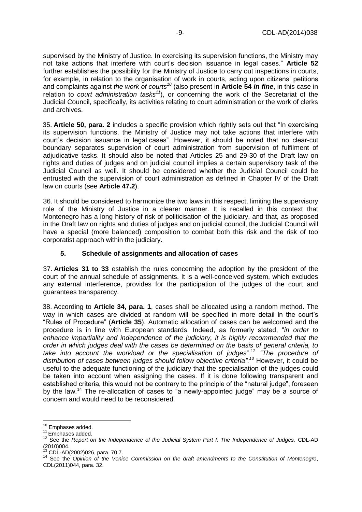supervised by the Ministry of Justice. In exercising its supervision functions, the Ministry may not take actions that interfere with court's decision issuance in legal cases." **Article 52** further establishes the possibility for the Ministry of Justice to carry out inspections in courts, for example, in relation to the organisation of work in courts, acting upon citizens' petitions and complaints against *the work of courts<sup>10</sup>* (also present in **Article 54** *in fine*, in this case in relation to *court administration tasks<sup>11</sup>*), or concerning the work of the Secretariat of the Judicial Council, specifically, its activities relating to court administration or the work of clerks and archives.

35. **Article 50, para. 2** includes a specific provision which rightly sets out that "In exercising its supervision functions, the Ministry of Justice may not take actions that interfere with court's decision issuance in legal cases". However, it should be noted that no clear-cut boundary separates supervision of court administration from supervision of fulfilment of adjudicative tasks. It should also be noted that Articles 25 and 29-30 of the Draft law on rights and duties of judges and on judicial council implies a certain supervisory task of the Judicial Council as well. It should be considered whether the Judicial Council could be entrusted with the supervision of court administration as defined in Chapter IV of the Draft law on courts (see **Article 47.2**).

36. It should be considered to harmonize the two laws in this respect, limiting the supervisory role of the Ministry of Justice in a clearer manner. It is recalled in this context that Montenegro has a long history of risk of politicisation of the judiciary, and that, as proposed in the Draft law on rights and duties of judges and on judicial council, the Judicial Council will have a special (more balanced) composition to combat both this risk and the risk of too corporatist approach within the judiciary.

#### <span id="page-8-0"></span>**5. Schedule of assignments and allocation of cases**

37. **Articles 31 to 33** establish the rules concerning the adoption by the president of the court of the annual schedule of assignments. It is a well-conceived system, which excludes any external interference, provides for the participation of the judges of the court and guarantees transparency.

38. According to **Article 34, para. 1**, cases shall be allocated using a random method. The way in which cases are divided at random will be specified in more detail in the court's "Rules of Procedure" (**Article 35**). Automatic allocation of cases can be welcomed and the procedure is in line with European standards. Indeed, as formerly stated, "*in order to enhance impartiality and independence of the judiciary, it is highly recommended that the order in which judges deal with the cases be determined on the basis of general criteria, to take into account the workload or the specialisation of judges*".<sup>12</sup> *"The procedure of distribution of cases between judges should follow objective criteria".<sup>13</sup>* However, it could be useful to the adequate functioning of the judiciary that the specialisation of the judges could be taken into account when assigning the cases. If it is done following transparent and established criteria, this would not be contrary to the principle of the "natural judge", foreseen by the law.<sup>14</sup> The re-allocation of cases to "a newly-appointed judge" may be a source of concern and would need to be reconsidered.

 $\overline{\phantom{a}}$ 

<sup>13</sup> CDL-AD(2002)026, para. 70.7.

<sup>&</sup>lt;sup>10</sup> Emphases added.

 $11$  Emphases added.

<sup>&</sup>lt;sup>12</sup> See the *Report on the Independence of the Judicial System Part I: The Independence of Judges, CDL-AD*  $(2010)004$ .

<sup>14</sup> See the *Opinion of the Venice Commission on the draft amendments to the Constitution of Montenegro*, CDL(2011)044, para. 32.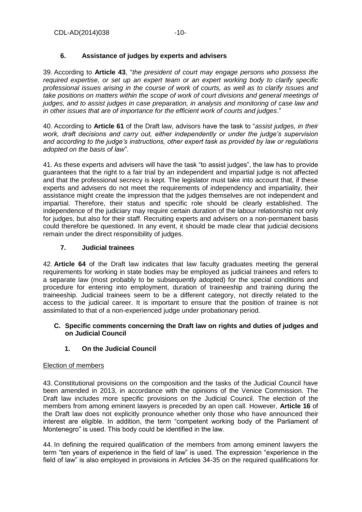### **6. Assistance of judges by experts and advisers**

<span id="page-9-0"></span>39. According to **Article 43**, "*the president of court may engage persons who possess the required expertise, or set up an expert team or an expert working body to clarify specific professional issues arising in the course of work of courts, as well as to clarify issues and take positions on matters within the scope of work of court divisions and general meetings of judges, and to assist judges in case preparation, in analysis and monitoring of case law and in other issues that are of importance for the efficient work of courts and judges*."

40. According to **Article 61** of the Draft law, advisors have the task to "*assist judges, in their work, draft decisions and carry out, either independently or under the judge's supervision and according to the judge's instructions, other expert task as provided by law or regulations adopted on the basis of law*".

41. As these experts and advisers will have the task "to assist judges", the law has to provide guarantees that the right to a fair trial by an independent and impartial judge is not affected and that the professional secrecy is kept. The legislator must take into account that, if these experts and advisers do not meet the requirements of independency and impartiality, their assistance might create the impression that the judges themselves are not independent and impartial. Therefore, their status and specific role should be clearly established. The independence of the judiciary may require certain duration of the labour relationship not only for judges, but also for their staff. Recruiting experts and advisers on a non-permanent basis could therefore be questioned. In any event, it should be made clear that judicial decisions remain under the direct responsibility of judges.

### <span id="page-9-1"></span>**7. Judicial trainees**

42. **Article 64** of the Draft law indicates that law faculty graduates meeting the general requirements for working in state bodies may be employed as judicial trainees and refers to a separate law (most probably to be subsequently adopted) for the special conditions and procedure for entering into employment, duration of traineeship and training during the traineeship. Judicial trainees seem to be a different category, not directly related to the access to the judicial career. It is important to ensure that the position of trainee is not assimilated to that of a non-experienced judge under probationary period.

#### <span id="page-9-2"></span>**C. Specific comments concerning the Draft law on rights and duties of judges and on Judicial Council**

### **1. On the Judicial Council**

#### <span id="page-9-3"></span>Election of members

43. Constitutional provisions on the composition and the tasks of the Judicial Council have been amended in 2013, in accordance with the opinions of the Venice Commission. The Draft law includes more specific provisions on the Judicial Council. The election of the members from among eminent lawyers is preceded by an open call. However, **Article 16** of the Draft law does not explicitly pronounce whether only those who have announced their interest are eligible. In addition, the term "competent working body of the Parliament of Montenegro" is used. This body could be identified in the law.

44. In defining the required qualification of the members from among eminent lawyers the term "ten years of experience in the field of law" is used. The expression "experience in the field of law" is also employed in provisions in Articles 34-35 on the required qualifications for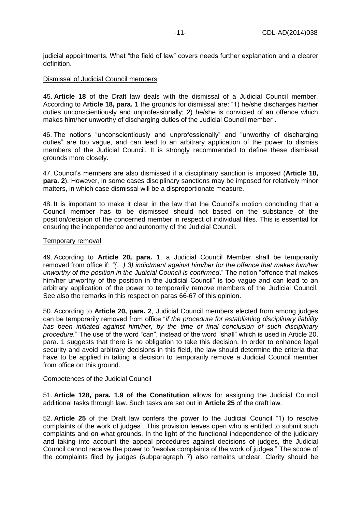judicial appointments. What "the field of law" covers needs further explanation and a clearer definition.

#### Dismissal of Judicial Council members

45. **Article 18** of the Draft law deals with the dismissal of a Judicial Council member. According to A**rticle 18, para. 1** the grounds for dismissal are: "1) he/she discharges his/her duties unconscientiously and unprofessionally; 2) he/she is convicted of an offence which makes him/her unworthy of discharging duties of the Judicial Council member".

46. The notions "unconscientiously and unprofessionally" and "unworthy of discharging duties" are too vague, and can lead to an arbitrary application of the power to dismiss members of the Judicial Council. It is strongly recommended to define these dismissal grounds more closely.

47. Council's members are also dismissed if a disciplinary sanction is imposed (**Article 18, para. 2**). However, in some cases disciplinary sanctions may be imposed for relatively minor matters, in which case dismissal will be a disproportionate measure.

48. It is important to make it clear in the law that the Council's motion concluding that a Council member has to be dismissed should not based on the substance of the position/decision of the concerned member in respect of individual files. This is essential for ensuring the independence and autonomy of the Judicial Council.

#### Temporary removal

49. According to **Article 20, para. 1**, a Judicial Council Member shall be temporarily removed from office if: *"(…) 3) indictment against him/her for the offence that makes him/her unworthy of the position in the Judicial Council is confirmed*." The notion "offence that makes him/her unworthy of the position in the Judicial Council" is too vague and can lead to an arbitrary application of the power to temporarily remove members of the Judicial Council. See also the remarks in this respect on paras 66-67 of this opinion.

50. According to **Article 20, para. 2**, Judicial Council members elected from among judges can be temporarily removed from office "*if the procedure for establishing disciplinary liability has been initiated against him/her, by the time of final conclusion of such disciplinary procedure.*" The use of the word "can", instead of the word "shall" which is used in Article 20, para. 1 suggests that there is no obligation to take this decision. In order to enhance legal security and avoid arbitrary decisions in this field, the law should determine the criteria that have to be applied in taking a decision to temporarily remove a Judicial Council member from office on this ground.

#### Competences of the Judicial Council

51. **Article 128, para. 1.9 of the Constitution** allows for assigning the Judicial Council additional tasks through law. Such tasks are set out in **Article 25** of the draft law.

52. **Article 25** of the Draft law confers the power to the Judicial Council "1) to resolve complaints of the work of judges". This provision leaves open who is entitled to submit such complaints and on what grounds. In the light of the functional independence of the judiciary and taking into account the appeal procedures against decisions of judges, the Judicial Council cannot receive the power to "resolve complaints of the work of judges." The scope of the complaints filed by judges (subparagraph 7) also remains unclear. Clarity should be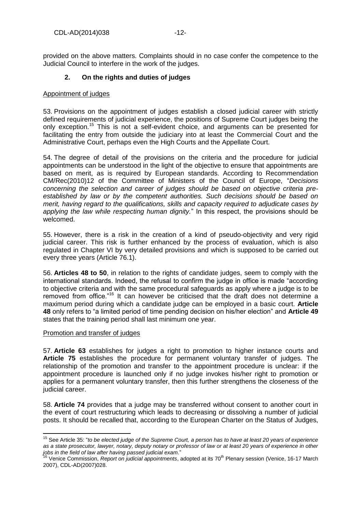<span id="page-11-0"></span>provided on the above matters. Complaints should in no case confer the competence to the Judicial Council to interfere in the work of the judges.

#### **2. On the rights and duties of judges**

#### Appointment of judges

53. Provisions on the appointment of judges establish a closed judicial career with strictly defined requirements of judicial experience, the positions of Supreme Court judges being the only exception.<sup>15</sup> This is not a self-evident choice, and arguments can be presented for facilitating the entry from outside the judiciary into at least the Commercial Court and the Administrative Court, perhaps even the High Courts and the Appellate Court.

54. The degree of detail of the provisions on the criteria and the procedure for judicial appointments can be understood in the light of the objective to ensure that appointments are based on merit, as is required by European standards. According to Recommendation CM/Rec(2010)12 of the Committee of Ministers of the Council of Europe, "*Decisions concerning the selection and career of judges should be based on objective criteria preestablished by law or by the competent authorities. Such decisions should be based on merit, having regard to the qualifications, skills and capacity required to adjudicate cases by applying the law while respecting human dignity.*" In this respect, the provisions should be welcomed.

55. However, there is a risk in the creation of a kind of pseudo-objectivity and very rigid judicial career. This risk is further enhanced by the process of evaluation, which is also regulated in Chapter VI by very detailed provisions and which is supposed to be carried out every three years (Article 76.1).

56. **Articles 48 to 50**, in relation to the rights of candidate judges, seem to comply with the international standards. Indeed, the refusal to confirm the judge in office is made "according to objective criteria and with the same procedural safeguards as apply where a judge is to be removed from office."<sup>16</sup> It can however be criticised that the draft does not determine a maximum period during which a candidate judge can be employed in a basic court. **Article 48** only refers to "a limited period of time pending decision on his/her election" and **Article 49** states that the training period shall last minimum one year.

#### Promotion and transfer of judges

 $\overline{a}$ 

57. **Article 63** establishes for judges a right to promotion to higher instance courts and **Article 75** establishes the procedure for permanent voluntary transfer of judges. The relationship of the promotion and transfer to the appointment procedure is unclear: if the appointment procedure is launched only if no judge invokes his/her right to promotion or applies for a permanent voluntary transfer, then this further strengthens the closeness of the judicial career.

58. **Article 74** provides that a judge may be transferred without consent to another court in the event of court restructuring which leads to decreasing or dissolving a number of judicial posts. It should be recalled that, according to the European Charter on the Status of Judges,

<sup>15</sup> See Article 35: "*to be elected judge of the Supreme Court, a person has to have at least 20 years of experience as a state prosecutor, lawyer, notary, deputy notary or professor of law or at least 20 years of experience in other jobs in the field of law after having passed judicial exam.*"

<sup>&</sup>lt;sup>3</sup> Venice Commission, *Report on judicial appointments*, adopted at its 70<sup>th</sup> Plenary session (Venice, 16-17 March 2007), CDL-AD(2007)028.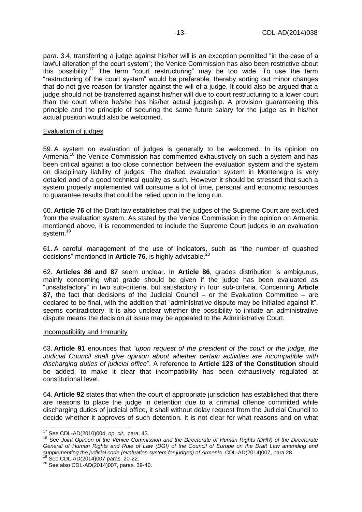para. 3.4, transferring a judge against his/her will is an exception permitted "in the case of a lawful alteration of the court system"; the Venice Commission has also been restrictive about this possibility.<sup>17</sup> The term "court restructuring" may be too wide. To use the term "restructuring of the court system" would be preferable, thereby sorting out minor changes that do not give reason for transfer against the will of a judge. It could also be argued that a judge should not be transferred against his/her will due to court restructuring to a lower court than the court where he/she has his/her actual judgeship. A provision guaranteeing this principle and the principle of securing the same future salary for the judge as in his/her actual position would also be welcomed.

#### Evaluation of judges

59. A system on evaluation of judges is generally to be welcomed. In its opinion on Armenia,<sup>18</sup> the Venice Commission has commented exhaustively on such a system and has been critical against a too close connection between the evaluation system and the system on disciplinary liability of judges. The drafted evaluation system in Montenegro is very detailed and of a good technical quality as such. However it should be stressed that such a system properly implemented will consume a lot of time, personal and economic resources to guarantee results that could be relied upon in the long run.

60. **Article 76** of the Draft law establishes that the judges of the Supreme Court are excluded from the evaluation system. As stated by the Venice Commission in the opinion on Armenia mentioned above, it is recommended to include the Supreme Court judges in an evaluation system.<sup>19</sup>

61. A careful management of the use of indicators, such as "the number of quashed decisions" mentioned in Article 76, is highly advisable.<sup>20</sup>

62. **Articles 86 and 87** seem unclear. In **Article 86**, grades distribution is ambiguous, mainly concerning what grade should be given if the judge has been evaluated as "unsatisfactory" in two sub-criteria, but satisfactory in four sub-criteria. Concerning **Article 87**, the fact that decisions of the Judicial Council – or the Evaluation Committee – are declared to be final, with the addition that "administrative dispute may be initiated against it", seems contradictory. It is also unclear whether the possibility to initiate an administrative dispute means the decision at issue may be appealed to the Administrative Court.

#### Incompatibility and Immunity

63. **Article 91** enounces that "*upon request of the president of the court or the judge, the Judicial Council shall give opinion about whether certain activities are incompatible with discharging duties of judicial office*". A reference to **Article 123 of the Constitution** should be added, to make it clear that incompatibility has been exhaustively regulated at constitutional level.

64. **Article 92** states that when the court of appropriate jurisdiction has established that there are reasons to place the judge in detention due to a criminal offence committed while discharging duties of judicial office, it shall without delay request from the Judicial Council to decide whether it approves of such detention. It is not clear for what reasons and on what

l <sup>17</sup> See CDL-AD(2010)004, *op. cit.,* para. 43.

<sup>&</sup>lt;sup>18</sup> See Joint Opinion of the Venice Commission and the Directorate of Human Rights (DHR) of the Directorate *General of Human Rights and Rule of Law (DGI) of the Council of Europe on the Draft Law amending and supplementing the judicial code (evaluation system for judges) of Armenia*, CDL-AD(2014)007, para 28. See CDL-AD(2014)007 paras. 20-22.

 $20$  See also CDL-AD(2014)007, paras. 39-40.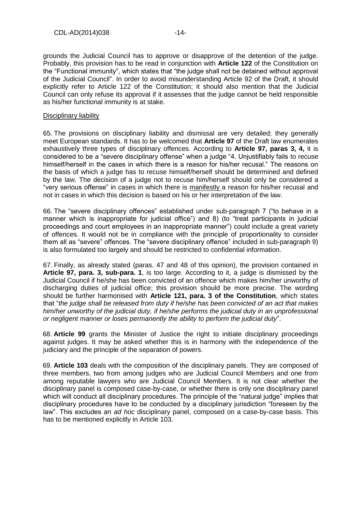grounds the Judicial Council has to approve or disapprove of the detention of the judge. Probably, this provision has to be read in conjunction with **Article 122** of the Constitution on the "Functional immunity", which states that "the judge shall not be detained without approval of the Judicial Council". In order to avoid misunderstanding Article 92 of the Draft, it should explicitly refer to Article 122 of the Constitution; it should also mention that the Judicial Council can only refuse its approval if it assesses that the judge cannot be held responsible as his/her functional immunity is at stake.

#### Disciplinary liability

65. The provisions on disciplinary liability and dismissal are very detailed; they generally meet European standards. It has to be welcomed that **Article 97** of the Draft law enumerates exhaustively three types of disciplinary offences. According to **Article 97, paras 3, 4,** it is considered to be a "severe disciplinary offense" when a judge "4. Unjustifiably fails to recuse himself/herself in the cases in which there is a reason for his/her recusal." The reasons on the basis of which a judge has to recuse himself/herself should be determined and defined by the law. The decision of a judge not to recuse him/herself should only be considered a "very serious offense" in cases in which there is manifestly a reason for his/her recusal and not in cases in which this decision is based on his or her interpretation of the law.

66. The "severe disciplinary offences" established under sub-paragraph 7 ("to behave in a manner which is inappropriate for judicial office") and 8) (to "treat participants in judicial proceedings and court employees in an inappropriate manner") could include a great variety of offences. It would not be in compliance with the principle of proportionality to consider them all as "severe" offences. The "severe disciplinary offence" included in sub-paragraph 9) is also formulated too largely and should be restricted to confidential information.

67. Finally, as already stated (paras. 47 and 48 of this opinion), the provision contained in **Article 97, para. 3, sub-para. 1**, is too large. According to it, a judge is dismissed by the Judicial Council if he/she has been convicted of an offence which makes him/her unworthy of discharging duties of judicial office; this provision should be more precise. The wording should be further harmonised with **Article 121, para. 3 of the Constitution**, which states that "*the judge shall be released from duty if he/she has been convicted of an act that makes him/her unworthy of the judicial duty, if he/she performs the judicial duty in an unprofessional or negligent manner or loses permanently the ability to perform the judicial duty*".

68. **Article 99** grants the Minister of Justice the right to initiate disciplinary proceedings against judges. It may be asked whether this is in harmony with the independence of the judiciary and the principle of the separation of powers.

69. **Article 103** deals with the composition of the disciplinary panels. They are composed of three members, two from among judges who are Judicial Council Members and one from among reputable lawyers who are Judicial Council Members. It is not clear whether the disciplinary panel is composed case-by-case, or whether there is only one disciplinary panel which will conduct all disciplinary procedures. The principle of the "natural judge" implies that disciplinary procedures have to be conducted by a disciplinary jurisdiction "foreseen by the law". This excludes an *ad hoc* disciplinary panel, composed on a case-by-case basis. This has to be mentioned explicitly in Article 103.